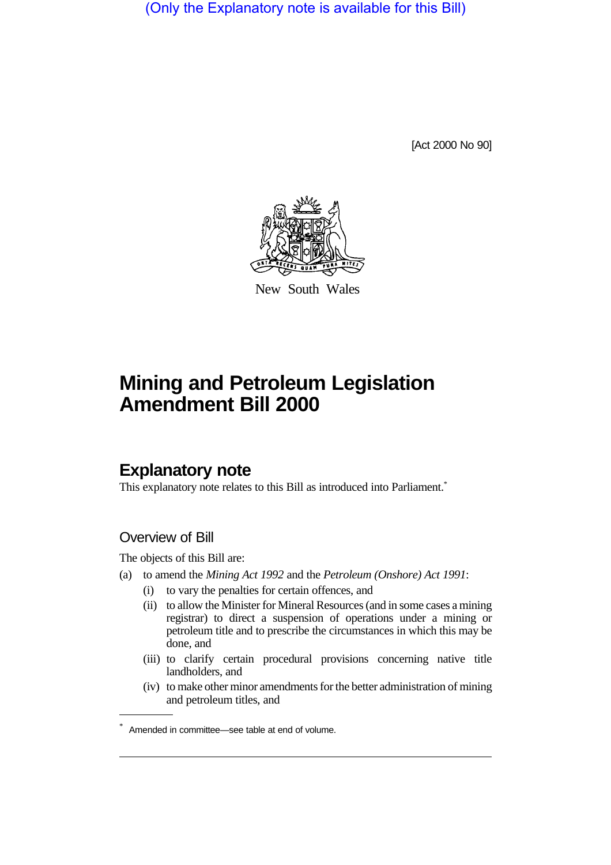(Only the Explanatory note is available for this Bill)

[Act 2000 No 90]



New South Wales

# **Mining and Petroleum Legislation Amendment Bill 2000**

# **Explanatory note**

This explanatory note relates to this Bill as introduced into Parliament.<sup>\*</sup>

# Overview of Bill

The objects of this Bill are:

- (a) to amend the *Mining Act 1992* and the *Petroleum (Onshore) Act 1991*:
	- (i) to vary the penalties for certain offences, and
	- (ii) to allow the Minister for Mineral Resources (and in some cases a mining registrar) to direct a suspension of operations under a mining or petroleum title and to prescribe the circumstances in which this may be done, and
	- (iii) to clarify certain procedural provisions concerning native title landholders, and
	- (iv) to make other minor amendments for the better administration of mining and petroleum titles, and

<sup>\*</sup> Amended in committee—see table at end of volume.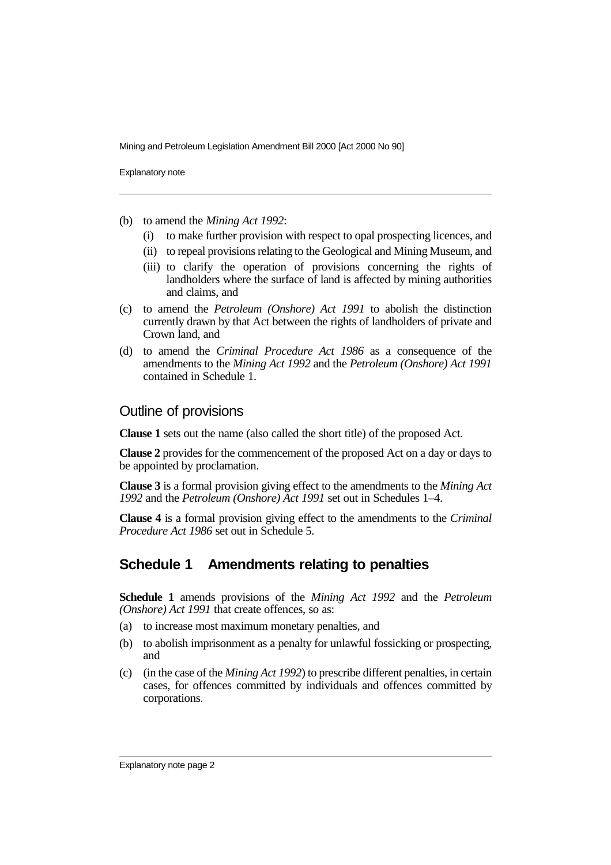Explanatory note

- (b) to amend the *Mining Act 1992*:
	- (i) to make further provision with respect to opal prospecting licences, and
	- (ii) to repeal provisions relating to the Geological and Mining Museum, and
	- (iii) to clarify the operation of provisions concerning the rights of landholders where the surface of land is affected by mining authorities and claims, and
- (c) to amend the *Petroleum (Onshore) Act 1991* to abolish the distinction currently drawn by that Act between the rights of landholders of private and Crown land, and
- (d) to amend the *Criminal Procedure Act 1986* as a consequence of the amendments to the *Mining Act 1992* and the *Petroleum (Onshore) Act 1991* contained in Schedule 1.

## Outline of provisions

**Clause 1** sets out the name (also called the short title) of the proposed Act.

**Clause 2** provides for the commencement of the proposed Act on a day or days to be appointed by proclamation.

**Clause 3** is a formal provision giving effect to the amendments to the *Mining Act 1992* and the *Petroleum (Onshore) Act 1991* set out in Schedules 1–4.

**Clause 4** is a formal provision giving effect to the amendments to the *Criminal Procedure Act 1986* set out in Schedule 5.

# **Schedule 1 Amendments relating to penalties**

**Schedule 1** amends provisions of the *Mining Act 1992* and the *Petroleum (Onshore) Act 1991* that create offences, so as:

- (a) to increase most maximum monetary penalties, and
- (b) to abolish imprisonment as a penalty for unlawful fossicking or prospecting, and
- (c) (in the case of the *Mining Act 1992*) to prescribe different penalties, in certain cases, for offences committed by individuals and offences committed by corporations.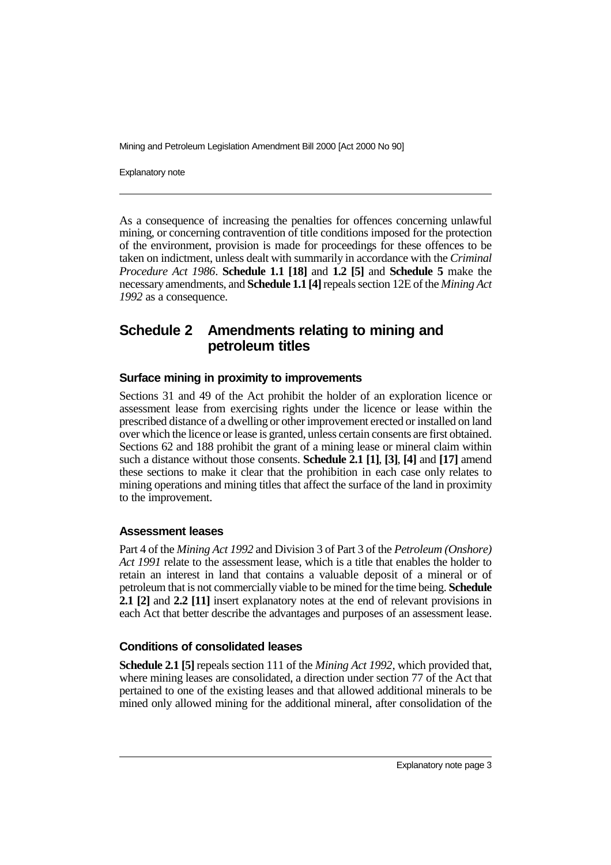Explanatory note

As a consequence of increasing the penalties for offences concerning unlawful mining, or concerning contravention of title conditions imposed for the protection of the environment, provision is made for proceedings for these offences to be taken on indictment, unless dealt with summarily in accordance with the *Criminal Procedure Act 1986*. **Schedule 1.1 [18]** and **1.2 [5]** and **Schedule 5** make the necessary amendments, and **Schedule 1.1 [4]** repeals section 12E of the *Mining Act 1992* as a consequence.

# **Schedule 2 Amendments relating to mining and petroleum titles**

#### **Surface mining in proximity to improvements**

Sections 31 and 49 of the Act prohibit the holder of an exploration licence or assessment lease from exercising rights under the licence or lease within the prescribed distance of a dwelling or other improvement erected or installed on land over which the licence or lease is granted, unless certain consents are first obtained. Sections 62 and 188 prohibit the grant of a mining lease or mineral claim within such a distance without those consents. **Schedule 2.1 [1]**, **[3]**, **[4]** and **[17]** amend these sections to make it clear that the prohibition in each case only relates to mining operations and mining titles that affect the surface of the land in proximity to the improvement.

#### **Assessment leases**

Part 4 of the *Mining Act 1992* and Division 3 of Part 3 of the *Petroleum (Onshore) Act 1991* relate to the assessment lease, which is a title that enables the holder to retain an interest in land that contains a valuable deposit of a mineral or of petroleum that is not commercially viable to be mined for the time being. **Schedule 2.1 [2]** and **2.2 [11]** insert explanatory notes at the end of relevant provisions in each Act that better describe the advantages and purposes of an assessment lease.

## **Conditions of consolidated leases**

**Schedule 2.1 [5]** repeals section 111 of the *Mining Act 1992*, which provided that, where mining leases are consolidated, a direction under section 77 of the Act that pertained to one of the existing leases and that allowed additional minerals to be mined only allowed mining for the additional mineral, after consolidation of the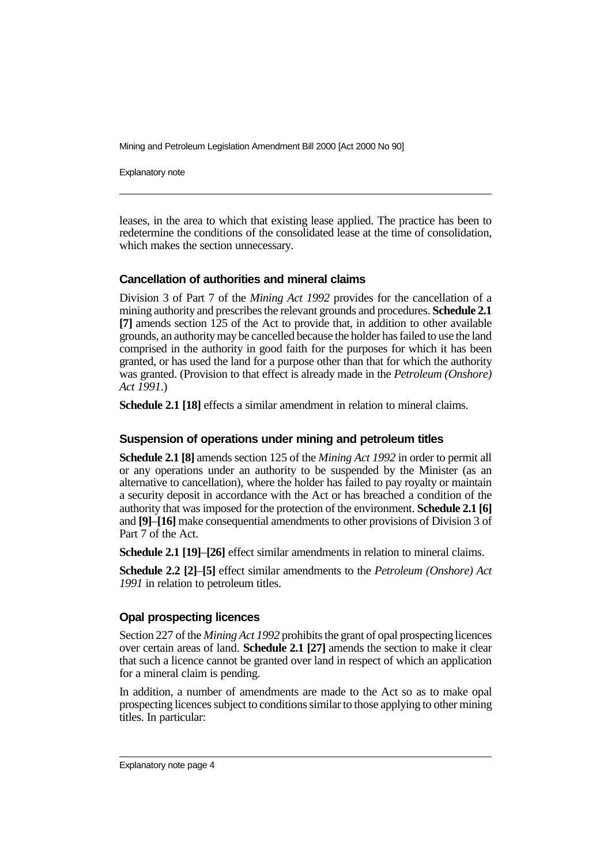Explanatory note

leases, in the area to which that existing lease applied. The practice has been to redetermine the conditions of the consolidated lease at the time of consolidation, which makes the section unnecessary.

#### **Cancellation of authorities and mineral claims**

Division 3 of Part 7 of the *Mining Act 1992* provides for the cancellation of a mining authority and prescribes the relevant grounds and procedures. **Schedule 2.1 [7]** amends section 125 of the Act to provide that, in addition to other available grounds, an authority may be cancelled because the holder has failed to use the land comprised in the authority in good faith for the purposes for which it has been granted, or has used the land for a purpose other than that for which the authority was granted. (Provision to that effect is already made in the *Petroleum (Onshore) Act 1991*.)

**Schedule 2.1 [18]** effects a similar amendment in relation to mineral claims.

#### **Suspension of operations under mining and petroleum titles**

**Schedule 2.1 [8]** amends section 125 of the *Mining Act 1992* in order to permit all or any operations under an authority to be suspended by the Minister (as an alternative to cancellation), where the holder has failed to pay royalty or maintain a security deposit in accordance with the Act or has breached a condition of the authority that was imposed for the protection of the environment. **Schedule 2.1 [6]** and **[9]**–**[16]** make consequential amendments to other provisions of Division 3 of Part 7 of the Act.

**Schedule 2.1 [19]**–**[26]** effect similar amendments in relation to mineral claims.

**Schedule 2.2 [2]**–**[5]** effect similar amendments to the *Petroleum (Onshore) Act 1991* in relation to petroleum titles.

## **Opal prospecting licences**

Section 227 of the *Mining Act 1992* prohibits the grant of opal prospecting licences over certain areas of land. **Schedule 2.1 [27]** amends the section to make it clear that such a licence cannot be granted over land in respect of which an application for a mineral claim is pending.

In addition, a number of amendments are made to the Act so as to make opal prospecting licences subject to conditions similar to those applying to other mining titles. In particular: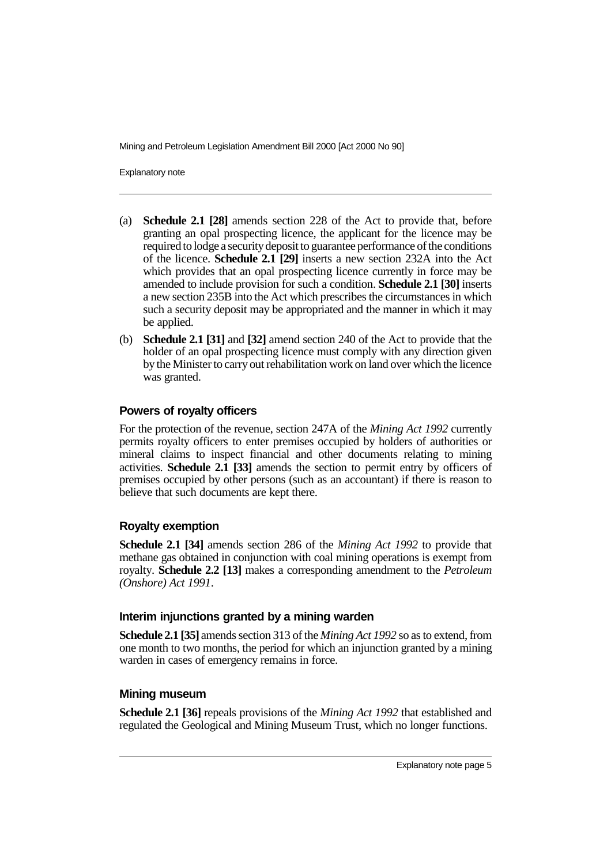Explanatory note

- (a) **Schedule 2.1 [28]** amends section 228 of the Act to provide that, before granting an opal prospecting licence, the applicant for the licence may be required to lodge a security deposit to guarantee performance of the conditions of the licence. **Schedule 2.1 [29]** inserts a new section 232A into the Act which provides that an opal prospecting licence currently in force may be amended to include provision for such a condition. **Schedule 2.1 [30]** inserts a new section 235B into the Act which prescribes the circumstances in which such a security deposit may be appropriated and the manner in which it may be applied.
- (b) **Schedule 2.1 [31]** and **[32]** amend section 240 of the Act to provide that the holder of an opal prospecting licence must comply with any direction given by the Minister to carry out rehabilitation work on land over which the licence was granted.

## **Powers of royalty officers**

For the protection of the revenue, section 247A of the *Mining Act 1992* currently permits royalty officers to enter premises occupied by holders of authorities or mineral claims to inspect financial and other documents relating to mining activities. **Schedule 2.1 [33]** amends the section to permit entry by officers of premises occupied by other persons (such as an accountant) if there is reason to believe that such documents are kept there.

## **Royalty exemption**

**Schedule 2.1 [34]** amends section 286 of the *Mining Act 1992* to provide that methane gas obtained in conjunction with coal mining operations is exempt from royalty. **Schedule 2.2 [13]** makes a corresponding amendment to the *Petroleum (Onshore) Act 1991*.

## **Interim injunctions granted by a mining warden**

**Schedule 2.1 [35]** amends section 313 of the *Mining Act 1992* so as to extend, from one month to two months, the period for which an injunction granted by a mining warden in cases of emergency remains in force.

## **Mining museum**

**Schedule 2.1 [36]** repeals provisions of the *Mining Act 1992* that established and regulated the Geological and Mining Museum Trust, which no longer functions.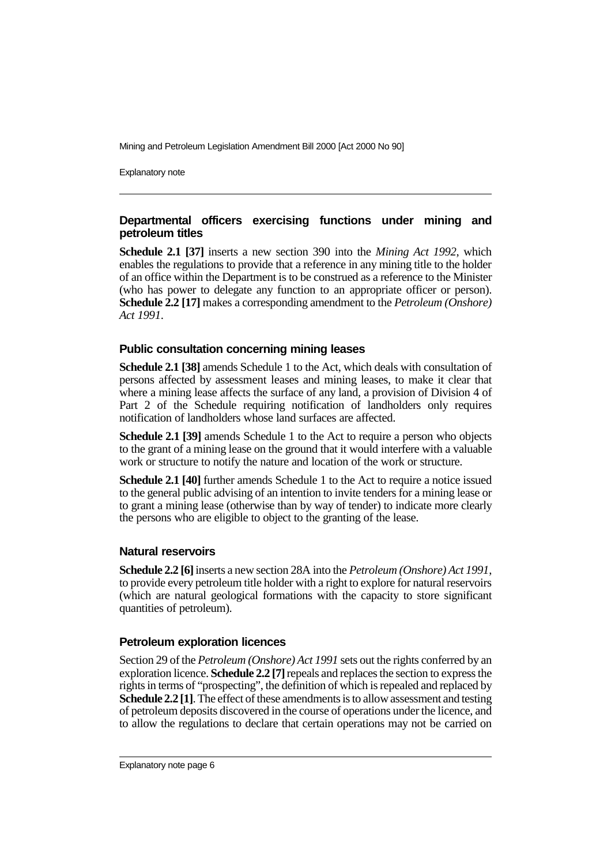Explanatory note

## **Departmental officers exercising functions under mining and petroleum titles**

**Schedule 2.1 [37]** inserts a new section 390 into the *Mining Act 1992*, which enables the regulations to provide that a reference in any mining title to the holder of an office within the Department is to be construed as a reference to the Minister (who has power to delegate any function to an appropriate officer or person). **Schedule 2.2 [17]** makes a corresponding amendment to the *Petroleum (Onshore) Act 1991*.

#### **Public consultation concerning mining leases**

**Schedule 2.1 [38]** amends Schedule 1 to the Act, which deals with consultation of persons affected by assessment leases and mining leases, to make it clear that where a mining lease affects the surface of any land, a provision of Division 4 of Part 2 of the Schedule requiring notification of landholders only requires notification of landholders whose land surfaces are affected.

**Schedule 2.1 [39]** amends Schedule 1 to the Act to require a person who objects to the grant of a mining lease on the ground that it would interfere with a valuable work or structure to notify the nature and location of the work or structure.

**Schedule 2.1 [40]** further amends Schedule 1 to the Act to require a notice issued to the general public advising of an intention to invite tenders for a mining lease or to grant a mining lease (otherwise than by way of tender) to indicate more clearly the persons who are eligible to object to the granting of the lease.

## **Natural reservoirs**

**Schedule 2.2 [6]** inserts a new section 28A into the *Petroleum (Onshore) Act 1991*, to provide every petroleum title holder with a right to explore for natural reservoirs (which are natural geological formations with the capacity to store significant quantities of petroleum).

## **Petroleum exploration licences**

Section 29 of the *Petroleum (Onshore) Act 1991* sets out the rights conferred by an exploration licence. **Schedule 2.2 [7]** repeals and replaces the section to express the rights in terms of "prospecting", the definition of which is repealed and replaced by **Schedule 2.2 [1]**. The effect of these amendments is to allow assessment and testing of petroleum deposits discovered in the course of operations under the licence, and to allow the regulations to declare that certain operations may not be carried on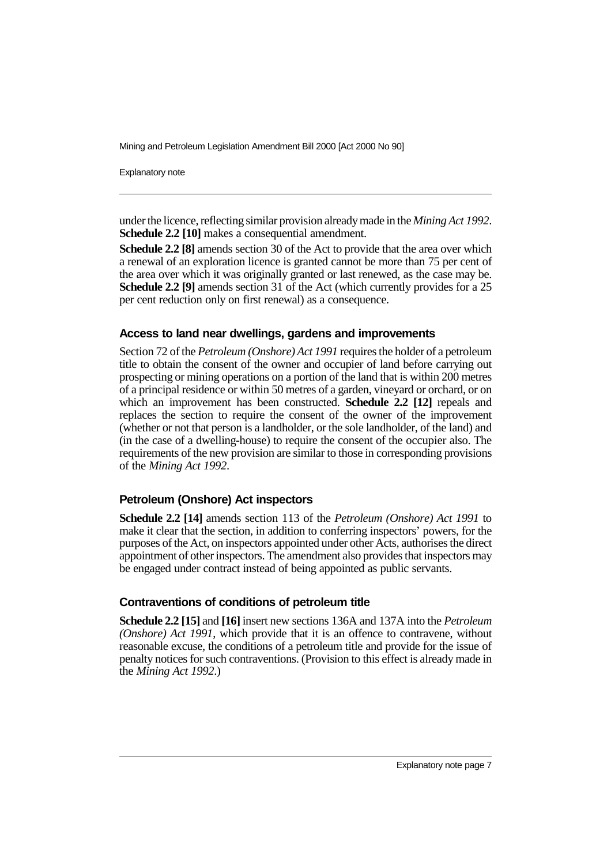Explanatory note

under the licence, reflecting similar provision already made in the *Mining Act 1992*. **Schedule 2.2 [10]** makes a consequential amendment.

**Schedule 2.2 [8]** amends section 30 of the Act to provide that the area over which a renewal of an exploration licence is granted cannot be more than 75 per cent of the area over which it was originally granted or last renewed, as the case may be. **Schedule 2.2 [9]** amends section 31 of the Act (which currently provides for a 25 per cent reduction only on first renewal) as a consequence.

#### **Access to land near dwellings, gardens and improvements**

Section 72 of the *Petroleum (Onshore) Act 1991* requires the holder of a petroleum title to obtain the consent of the owner and occupier of land before carrying out prospecting or mining operations on a portion of the land that is within 200 metres of a principal residence or within 50 metres of a garden, vineyard or orchard, or on which an improvement has been constructed. **Schedule 2.2 [12]** repeals and replaces the section to require the consent of the owner of the improvement (whether or not that person is a landholder, or the sole landholder, of the land) and (in the case of a dwelling-house) to require the consent of the occupier also. The requirements of the new provision are similar to those in corresponding provisions of the *Mining Act 1992*.

## **Petroleum (Onshore) Act inspectors**

**Schedule 2.2 [14]** amends section 113 of the *Petroleum (Onshore) Act 1991* to make it clear that the section, in addition to conferring inspectors' powers, for the purposes of the Act, on inspectors appointed under other Acts, authorises the direct appointment of other inspectors. The amendment also provides that inspectors may be engaged under contract instead of being appointed as public servants.

#### **Contraventions of conditions of petroleum title**

**Schedule 2.2 [15]** and **[16]** insert new sections 136A and 137A into the *Petroleum (Onshore) Act 1991*, which provide that it is an offence to contravene, without reasonable excuse, the conditions of a petroleum title and provide for the issue of penalty notices for such contraventions. (Provision to this effect is already made in the *Mining Act 1992*.)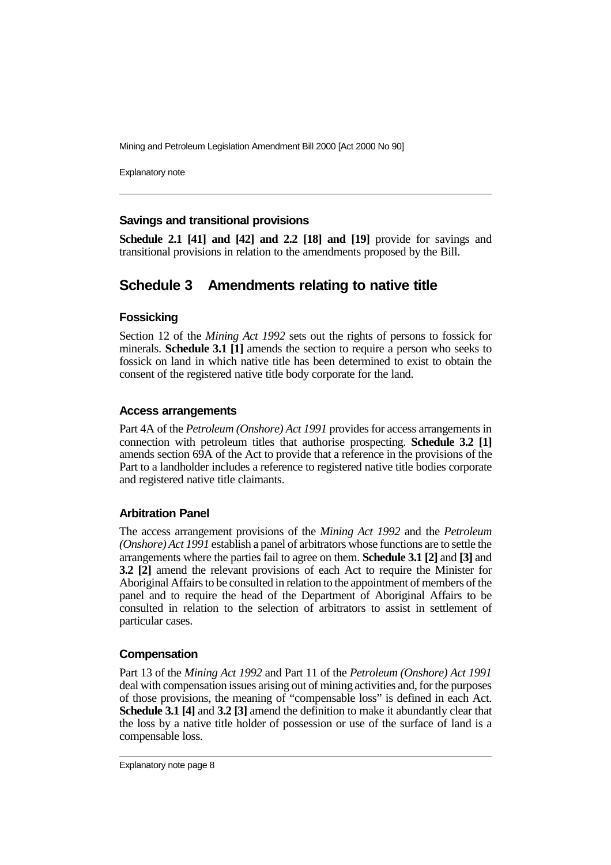Explanatory note

#### **Savings and transitional provisions**

**Schedule 2.1 [41] and [42] and 2.2 [18] and [19]** provide for savings and transitional provisions in relation to the amendments proposed by the Bill.

# **Schedule 3 Amendments relating to native title**

#### **Fossicking**

Section 12 of the *Mining Act 1992* sets out the rights of persons to fossick for minerals. **Schedule 3.1 [1]** amends the section to require a person who seeks to fossick on land in which native title has been determined to exist to obtain the consent of the registered native title body corporate for the land.

#### **Access arrangements**

Part 4A of the *Petroleum (Onshore) Act 1991* provides for access arrangements in connection with petroleum titles that authorise prospecting. **Schedule 3.2 [1]** amends section 69A of the Act to provide that a reference in the provisions of the Part to a landholder includes a reference to registered native title bodies corporate and registered native title claimants.

#### **Arbitration Panel**

The access arrangement provisions of the *Mining Act 1992* and the *Petroleum (Onshore) Act 1991* establish a panel of arbitrators whose functions are to settle the arrangements where the parties fail to agree on them. **Schedule 3.1 [2]** and **[3]** and **3.2 [2]** amend the relevant provisions of each Act to require the Minister for Aboriginal Affairs to be consulted in relation to the appointment of members of the panel and to require the head of the Department of Aboriginal Affairs to be consulted in relation to the selection of arbitrators to assist in settlement of particular cases.

#### **Compensation**

Part 13 of the *Mining Act 1992* and Part 11 of the *Petroleum (Onshore) Act 1991* deal with compensation issues arising out of mining activities and, for the purposes of those provisions, the meaning of "compensable loss" is defined in each Act. **Schedule 3.1 [4]** and **3.2 [3]** amend the definition to make it abundantly clear that the loss by a native title holder of possession or use of the surface of land is a compensable loss.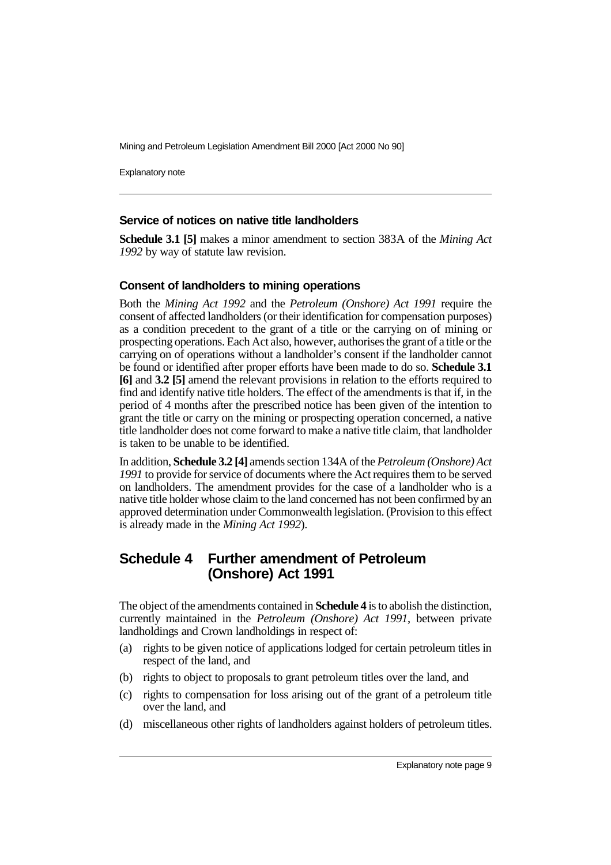Explanatory note

#### **Service of notices on native title landholders**

**Schedule 3.1 [5]** makes a minor amendment to section 383A of the *Mining Act 1992* by way of statute law revision.

#### **Consent of landholders to mining operations**

Both the *Mining Act 1992* and the *Petroleum (Onshore) Act 1991* require the consent of affected landholders (or their identification for compensation purposes) as a condition precedent to the grant of a title or the carrying on of mining or prospecting operations. Each Act also, however, authorises the grant of a title or the carrying on of operations without a landholder's consent if the landholder cannot be found or identified after proper efforts have been made to do so. **Schedule 3.1 [6]** and **3.2 [5]** amend the relevant provisions in relation to the efforts required to find and identify native title holders. The effect of the amendments is that if, in the period of 4 months after the prescribed notice has been given of the intention to grant the title or carry on the mining or prospecting operation concerned, a native title landholder does not come forward to make a native title claim, that landholder is taken to be unable to be identified.

In addition, **Schedule 3.2 [4]** amends section 134A of the *Petroleum (Onshore) Act 1991* to provide for service of documents where the Act requires them to be served on landholders. The amendment provides for the case of a landholder who is a native title holder whose claim to the land concerned has not been confirmed by an approved determination under Commonwealth legislation. (Provision to this effect is already made in the *Mining Act 1992*).

## **Schedule 4 Further amendment of Petroleum (Onshore) Act 1991**

The object of the amendments contained in **Schedule 4** is to abolish the distinction, currently maintained in the *Petroleum (Onshore) Act 1991*, between private landholdings and Crown landholdings in respect of:

- (a) rights to be given notice of applications lodged for certain petroleum titles in respect of the land, and
- (b) rights to object to proposals to grant petroleum titles over the land, and
- (c) rights to compensation for loss arising out of the grant of a petroleum title over the land, and
- (d) miscellaneous other rights of landholders against holders of petroleum titles.